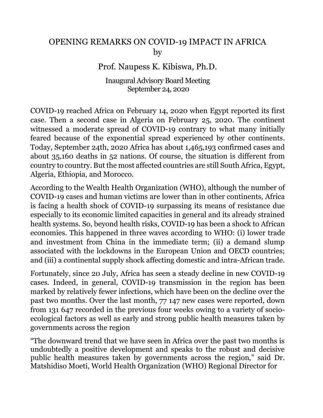## OPENING REMARKS ON COVID-19 IMPACT IN AFRICA by

## Prof. Naupess K. Kibiswa, Ph.D.

## Inaugural Advisory Board Meeting September 24, 2020

COVID-19 reached Africa on February 14, 2020 when Egypt reported its first case. Then a second case in Algeria on February 25, 2020. The continent witnessed a moderate spread of COVID-19 contrary to what many initially feared because of the exponential spread experienced by other continents. Today, September 24th, 2020 Africa has about 1,465,193 confirmed cases and about 35,160 deaths in 52 nations. Of course, the situation is different from country to country. But the most affected countries are still South Africa, Egypt, Algeria, Ethiopia, and Morocco.

According to the Wealth Health Organization (WHO), although the number of COVID-19 cases and human victims are lower than in other continents, Africa is facing a health shock of COVID-19 surpassing its means of resistance due especially to its economic limited capacities in general and its already strained health systems. So, beyond health risks, COVID-19 has been a shock to African economies. This happened in three waves according to WHO: (i) lower trade and investment from China in the immediate term; (ii) a demand slump associated with the lockdowns in the European Union and OECD countries; and (iii) a continental supply shock affecting domestic and intra-African trade.

Fortunately, since 20 July, Africa has seen a steady decline in new COVID-19 cases. Indeed, in general, COVID-19 transmission in the region has been marked by relatively fewer infections, which have been on the decline over the past two months. Over the last month, 77 147 new cases were reported, down from 131 647 recorded in the previous four weeks owing to a variety of socioecological factors as well as early and strong public health measures taken by governments across the region

"The downward trend that we have seen in Africa over the past two months is undoubtedly a positive development and speaks to the robust and decisive public health measures taken by governments across the region," said Dr. Matshidiso Moeti, World Health Organization (WHO) Regional Director for